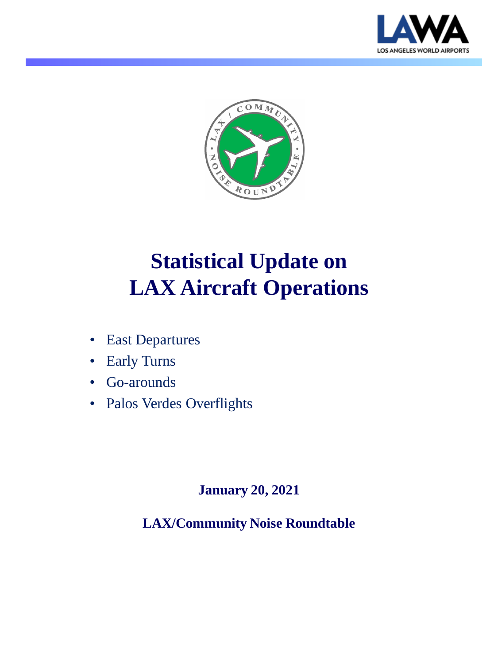



# **Statistical Update on LAX Aircraft Operations**

- East Departures
- Early Turns
- Go-arounds
- Palos Verdes Overflights

#### **January 20, 2021**

**LAX/Community Noise Roundtable**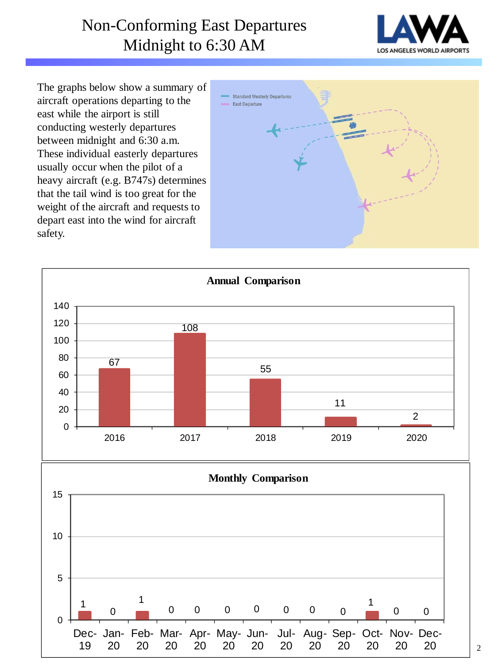## Non-Conforming East Departures Midnight to 6:30 AM



The graphs below show a summary of aircraft operations departing to the east while the airport is still conducting westerly departures between midnight and 6:30 a.m. These individual easterly departures usually occur when the pilot of a heavy aircraft (e.g. B747s) determines that the tail wind is too great for the weight of the aircraft and requests to depart east into the wind for aircraft safety.



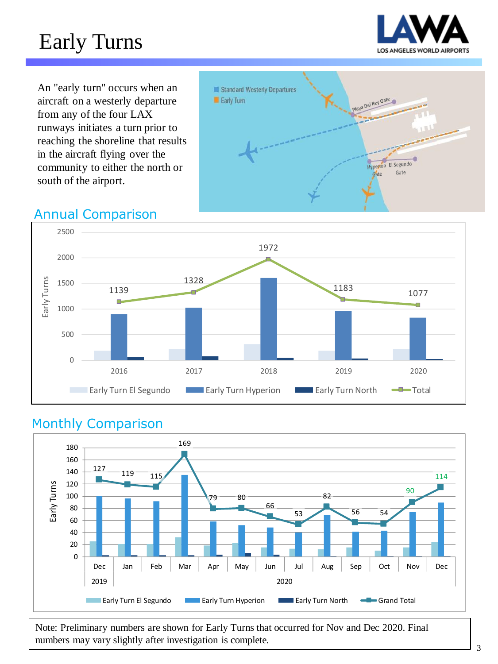# Early Turns



An "early turn" occurs when an aircraft on a westerly departure from any of the four LAX runways initiates a turn prior to reaching the shoreline that results in the aircraft flying over the community to either the north or south of the airport.



### Annual Comparison



#### Monthly Comparison



Note: Preliminary numbers are shown for Early Turns that occurred for Nov and Dec 2020. Final numbers may vary slightly after investigation is complete.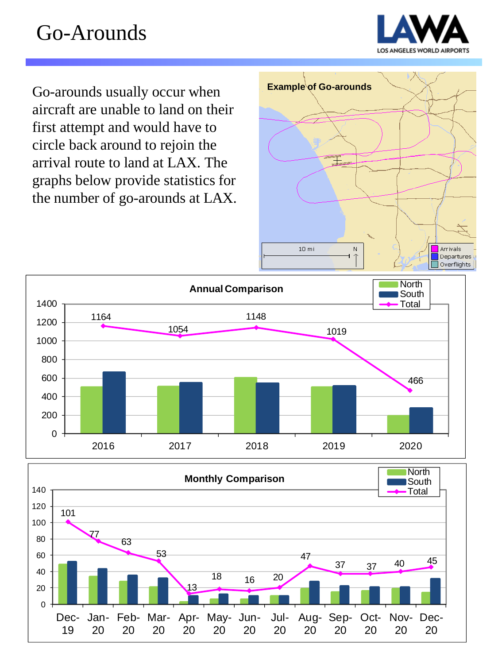

Go-arounds usually occur when **Example of Go-arounds** aircraft are unable to land on their first attempt and would have to circle back around to rejoin the arrival route to land at LAX. The graphs below provide statistics for the number of go-arounds at LAX.





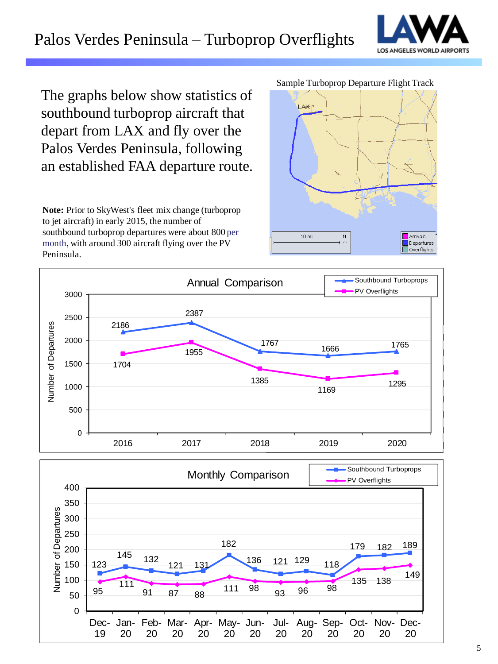### Palos Verdes Peninsula – Turboprop Overflights



The graphs below show statistics of southbound turboprop aircraft that depart from LAX and fly over the Palos Verdes Peninsula, following an established FAA departure route.

**Note:** Prior to SkyWest's fleet mix change (turboprop to jet aircraft) in early 2015, the number of southbound turboprop departures were about 800 per month, with around 300 aircraft flying over the PV Peninsula.







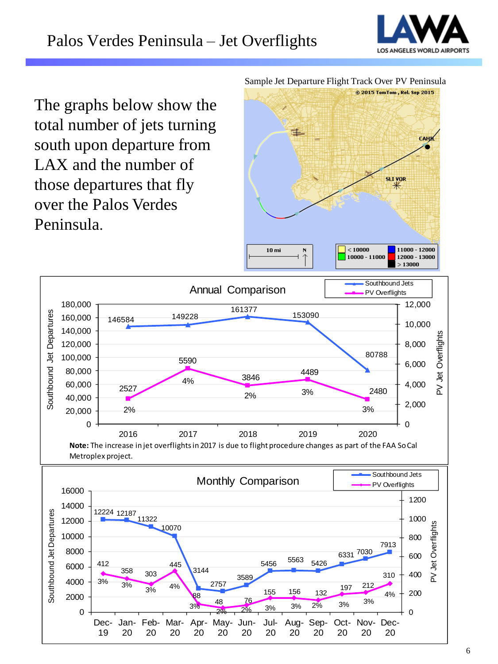

The graphs below show the total number of jets turning south upon departure from LAX and the number of those departures that fly over the Palos Verdes Peninsula.

Sample Jet Departure Flight Track Over PV Peninsula